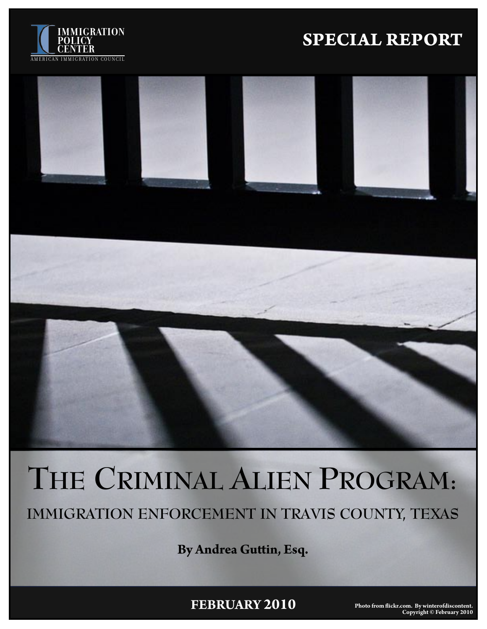

# **IMMIGRATION**<br>**SPECIAL REPORT**



# **THE CRIMINAL ALIEN PROGRAM:**

**IMMIGRATION ENFORCEMENT IN TRAVIS COUNTY, TEXAS**

**By Andrea Gu�in, Esq.**

**FEBRUARY 2010**

**Photo from �ickr.com. By winterofdiscontent. Copyright © February 2010**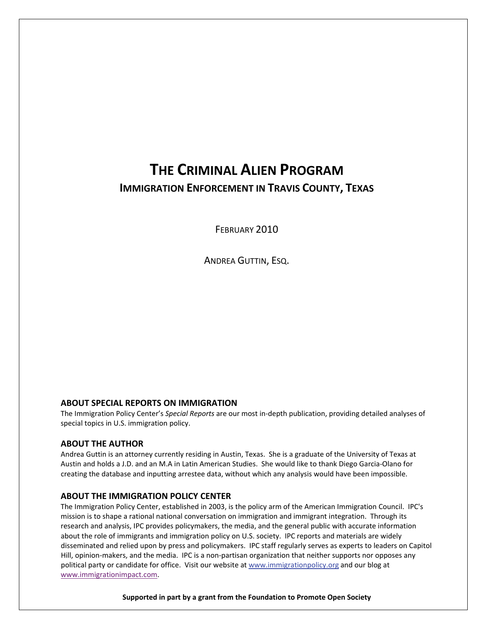### **THE CRIMINAL ALIEN PROGRAM IMMIGRATION ENFORCEMENT IN TRAVIS COUNTY, TEXAS**

FEBRUARY 2010

ANDREA GUTTIN, ESQ.

#### **ABOUT SPECIAL REPORTS ON IMMIGRATION**

The Immigration Policy Center's *Special Reports* are our most in‐depth publication, providing detailed analyses of special topics in U.S. immigration policy.

#### **ABOUT THE AUTHOR**

Andrea Guttin is an attorney currently residing in Austin, Texas. She is a graduate of the University of Texas at Austin and holds a J.D. and an M.A in Latin American Studies. She would like to thank Diego Garcia‐Olano for creating the database and inputting arrestee data, without which any analysis would have been impossible.

#### **ABOUT THE IMMIGRATION POLICY CENTER**

The Immigration Policy Center, established in 2003, is the policy arm of the American Immigration Council. IPC's mission is to shape a rational national conversation on immigration and immigrant integration. Through its research and analysis, IPC provides policymakers, the media, and the general public with accurate information about the role of immigrants and immigration policy on U.S. society. IPC reports and materials are widely disseminated and relied upon by press and policymakers. IPC staff regularly serves as experts to leaders on Capitol Hill, opinion-makers, and the media. IPC is a non-partisan organization that neither supports nor opposes any political party or candidate for office. Visit our website at [www.immigrationpolicy.org](http://rs6.net/tn.jsp?e=0013sB3H4Ngeb8u23v8DTLYuHff5o3A9Y7fC7wsO-myYRJX8RIQtjCJU2lT5w5MoDBNruFtlQCCVis4BypKz358QSnkHIGy4kZ3WjQGc9mhqFGdO-75dEFf5V4SGNJr23Hf&id=preview&id=preview) and our blog at [www.immigrationimpact.com.](http://www.immigrationimpact.com/)

**Supported in part by a grant from the Foundation to Promote Open Society**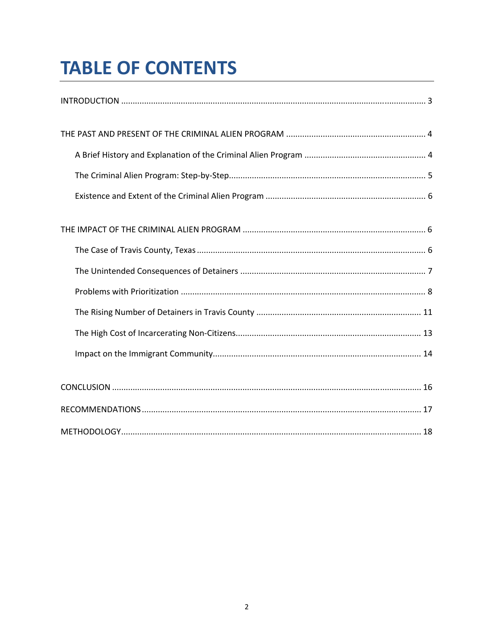# **TABLE OF CONTENTS**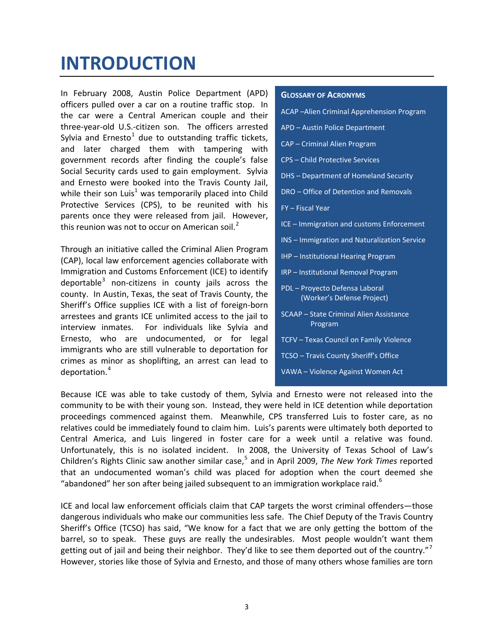## <span id="page-3-0"></span>**INTRODUCTION**

In February 2008, Austin Police Department (APD) officers pulled over a car on a routine traffic stop. In the car were a Central American couple and their three‐year‐old U.S.‐citizen son. The officers arrested Sylvia and Ernesto<sup>[1](#page-18-1)</sup> due to outstanding traffic tickets, and later charged them with tampering with government records after finding the couple's false Social Security cards used to gain employment. Sylvia and Ernesto were booked into the Travis County Jail, while their son Luis<sup>1</sup> was temporarily placed into Child Protective Services (CPS), to be reunited with his parents once they were released from jail. However, this reunion was not to occur on American soil. $<sup>2</sup>$  $<sup>2</sup>$  $<sup>2</sup>$ </sup>

Through an initiative called the Criminal Alien Program (CAP), local law enforcement agencies collaborate with Immigration and Customs Enforcement (ICE) to identify deportable $3$  non-citizens in county jails across the county. In Austin, Texas, the seat of Travis County, the Sheriff's Office supplies ICE with a list of foreign‐born arrestees and grants ICE unlimited access to the jail to interview inmates. For individuals like Sylvia and Ernesto, who are undocumented, or for legal immigrants who are still vulnerable to deportation for crimes as minor as shoplifting, an arrest can lead to deportation.[4](#page-18-2)

#### **GLOSSARY OF ACRONYMS**

- ACAP –Alien Criminal Apprehension Program
- APD Austin Police Department
- CAP Criminal Alien Program
- CPS Child Protective Services
- DHS Department of Homeland Security
- DRO Office of Detention and Removals
- FY Fiscal Year
- ICE Immigration and customs Enforcement
- INS Immigration and Naturalization Service
- IHP Institutional Hearing Program
- IRP Institutional Removal Program
- PDL Proyecto Defensa Laboral (Worker's Defense Project)
- SCAAP State Criminal Alien Assistance Program
- TCFV Texas Council on Family Violence
- TCSO Travis County Sheriff's Office
- VAWA Violence Against Women Act

Because ICE was able to take custody of them, Sylvia and Ernesto were not released into the community to be with their young son. Instead, they were held in ICE detention while deportation proceedings commenced against them. Meanwhile, CPS transferred Luis to foster care, as no relatives could be immediately found to claim him. Luis's parents were ultimately both deported to Central America, and Luis lingered in foster care for a week until a relative was found. Unfortunately, this is no isolated incident. In 2008, the University of Texas School of Law's Children's Rights Clinic saw another similar case, [5](#page-18-2) and in April 2009, *The New York Times* reported that an undocumented woman's child was placed for adoption when the court deemed she "abandoned" her son after being jailed subsequent to an immigration workplace raid. $^{\circ}$ 

ICE and local law enforcement officials claim that CAP targets the worst criminal offenders—those dangerous individuals who make our communities less safe. The Chief Deputy of the Travis Country Sheriff's Office (TCSO) has said, "We know for a fact that we are only getting the bottom of the barrel, so to speak. These guys are really the undesirables. Most people wouldn't want them getting out of jail and being their neighbor. They'd like to see them deported out of the country."<sup>[7](#page-18-2)</sup> However, stories like those of Sylvia and Ernesto, and those of many others whose families are torn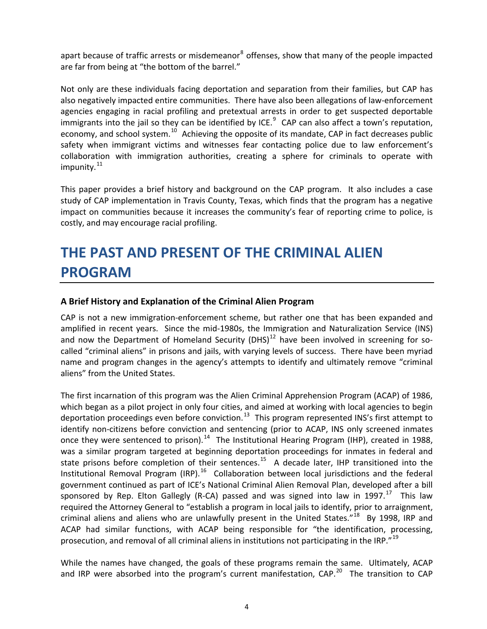<span id="page-4-0"></span>apart because of traffic arrests or misdemeanor<sup>[8](#page-18-2)</sup> offenses, show that many of the people impacted are far from being at "the bottom of the barrel."

Not only are these individuals facing deportation and separation from their families, but CAP has also negatively impacted entire communities. There have also been allegations of law-enforcement agencies engaging in racial profiling and pretextual arrests in order to get suspected deportable immigrants into the jail so they can be identified by ICE. $^9$  $^9$  CAP can also affect a town's reputation, economy, and school system.<sup>[10](#page-18-2)</sup> Achieving the opposite of its mandate, CAP in fact decreases public safety when immigrant victims and witnesses fear contacting police due to law enforcement's collaboration with immigration authorities, creating a sphere for criminals to operate with impunity. $^{11}$  $^{11}$  $^{11}$ 

This paper provides a brief history and background on the CAP program. It also includes a case study of CAP implementation in Travis County, Texas, which finds that the program has a negative impact on communities because it increases the community's fear of reporting crime to police, is costly, and may encourage racial profiling.

### **THE PAST AND PRESENT OF THE CRIMINAL ALIEN PROGRAM**

### **A Brief History and Explanation of the Criminal Alien Program**

CAP is not a new immigration‐enforcement scheme, but rather one that has been expanded and amplified in recent years. Since the mid-1980s, the Immigration and Naturalization Service (INS) and now the Department of Homeland Security (DHS) $^{12}$  $^{12}$  $^{12}$  have been involved in screening for socalled "criminal aliens" in prisons and jails, with varying levels of success. There have been myriad name and program changes in the agency's attempts to identify and ultimately remove "criminal aliens" from the United States.

The first incarnation of this program was the Alien Criminal Apprehension Program (ACAP) of 1986, which began as a pilot project in only four cities, and aimed at working with local agencies to begin deportation proceedings even before conviction.<sup>[13](#page-18-2)</sup> This program represented INS's first attempt to identify non-citizens before conviction and sentencing (prior to ACAP, INS only screened inmates once they were sentenced to prison).<sup>[14](#page-19-0)</sup> The Institutional Hearing Program (IHP), created in 1988, was a similar program targeted at beginning deportation proceedings for inmates in federal and state prisons before completion of their sentences.<sup>[15](#page-19-0)</sup> A decade later, IHP transitioned into the Institutional Removal Program (IRP).<sup>[16](#page-19-0)</sup> Collaboration between local jurisdictions and the federal government continued as part of ICE's National Criminal Alien Removal Plan, developed after a bill sponsored by Rep. Elton Gallegly (R-CA) passed and was signed into law in 1997.<sup>[17](#page-19-0)</sup> This law required the Attorney General to "establish a program in local jails to identify, prior to arraignment, criminal aliens and aliens who are unlawfully present in the United States." $^{18}$  $^{18}$  $^{18}$  By 1998, IRP and ACAP had similar functions, with ACAP being responsible for "the identification, processing, prosecution, and removal of all criminal aliens in institutions not participating in the IRP."<sup>19</sup>

While the names have changed, the goals of these programs remain the same. Ultimately, ACAP and IRP were absorbed into the program's current manifestation, CAP. $^{20}$  $^{20}$  $^{20}$  The transition to CAP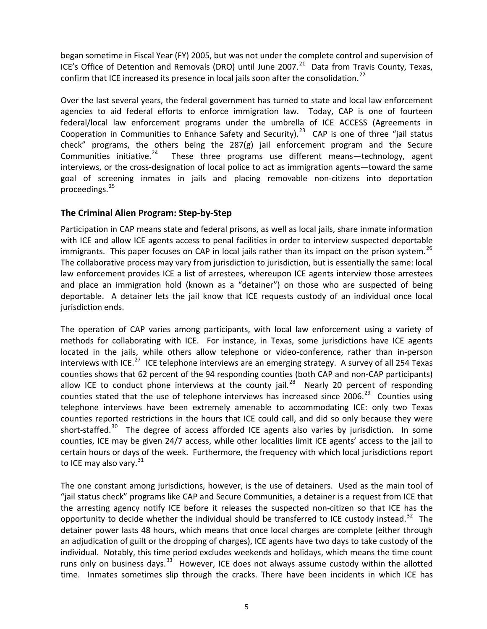<span id="page-5-0"></span>began sometime in Fiscal Year (FY) 2005, but was not under the complete control and supervision of ICE's Office of Detention and Removals (DRO) until June 2007. $^{21}$  $^{21}$  $^{21}$  Data from Travis County, Texas, confirm that ICE increased its presence in local jails soon after the consolidation.<sup>[22](#page-19-0)</sup>

Over the last several years, the federal government has turned to state and local law enforcement agencies to aid federal efforts to enforce immigration law. Today, CAP is one of fourteen federal/local law enforcement programs under the umbrella of ICE ACCESS (Agreements in Cooperation in Communities to Enhance Safety and Security).<sup>[23](#page-19-0)</sup> CAP is one of three "jail status check" programs, the others being the  $287(g)$  jail enforcement program and the Secure<br>Communities initiative.<sup>24</sup> These three programs use different means—technology, agent These three programs use different means—technology, agent interviews, or the cross-designation of local police to act as immigration agents—toward the same goal of screening inmates in jails and placing removable non‐citizens into deportation proceedings.[25](#page-19-0)

### **The Criminal Alien Program: Step‐by‐Step**

Participation in CAP means state and federal prisons, as well as local jails, share inmate information with ICE and allow ICE agents access to penal facilities in order to interview suspected deportable immigrants. This paper focuses on CAP in local jails rather than its impact on the prison system.<sup>[26](#page-19-0)</sup> The collaborative process may vary from jurisdiction to jurisdiction, but is essentially the same: local law enforcement provides ICE a list of arrestees, whereupon ICE agents interview those arrestees and place an immigration hold (known as a "detainer") on those who are suspected of being deportable. A detainer lets the jail know that ICE requests custody of an individual once local jurisdiction ends.

The operation of CAP varies among participants, with local law enforcement using a variety of methods for collaborating with ICE. For instance, in Texas, some jurisdictions have ICE agents located in the jails, while others allow telephone or video-conference, rather than in-person interviews with ICE.<sup>[27](#page-19-0)</sup> ICE telephone interviews are an emerging strategy. A survey of all 254 Texas counties shows that 62 percent of the 94 responding counties (both CAP and non‐CAP participants) allow ICE to conduct phone interviews at the county jail.<sup>[28](#page-19-0)</sup> Nearly 20 percent of responding counties stated that the use of telephone interviews has increased since 2006.<sup>[29](#page-19-0)</sup> Counties using telephone interviews have been extremely amenable to accommodating ICE: only two Texas counties reported restrictions in the hours that ICE could call, and did so only because they were short-staffed.<sup>[30](#page-19-0)</sup> The degree of access afforded ICE agents also varies by jurisdiction. In some counties, ICE may be given 24/7 access, while other localities limit ICE agents' access to the jail to certain hours or days of the week. Furthermore, the frequency with which local jurisdictions report to ICE may also vary.<sup>[31](#page-19-0)</sup>

The one constant among jurisdictions, however, is the use of detainers. Used as the main tool of "jail status check" programs like CAP and Secure Communities, a detainer is a request from ICE that the arresting agency notify ICE before it releases the suspected non‐citizen so that ICE has the opportunity to decide whether the individual should be transferred to ICE custody instead.<sup>[32](#page-19-0)</sup> The detainer power lasts 48 hours, which means that once local charges are complete (either through an adjudication of guilt or the dropping of charges), ICE agents have two days to take custody of the individual. Notably, this time period excludes weekends and holidays, which means the time count runs only on business days.<sup>[33](#page-19-0)</sup> However, ICE does not always assume custody within the allotted time. Inmates sometimes slip through the cracks. There have been incidents in which ICE has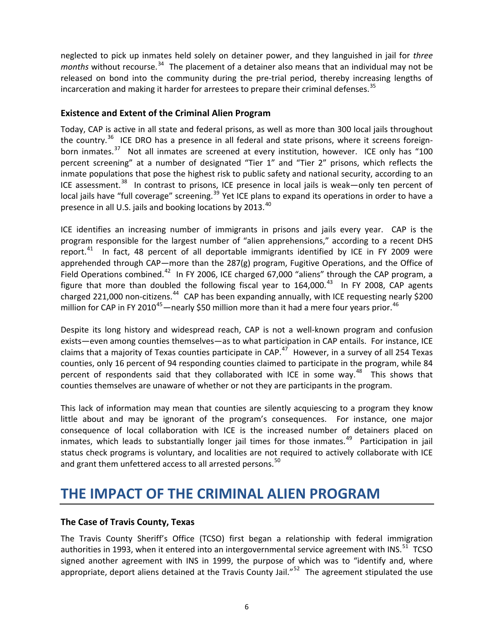<span id="page-6-0"></span>neglected to pick up inmates held solely on detainer power, and they languished in jail for *three* months without recourse.<sup>[34](#page-19-0)</sup> The placement of a detainer also means that an individual may not be released on bond into the community during the pre-trial period, thereby increasing lengths of incarceration and making it harder for arrestees to prepare their criminal defenses. $35$ 

### **Existence and Extent of the Criminal Alien Program**

Today, CAP is active in all state and federal prisons, as well as more than 300 local jails throughout the country.<sup>[36](#page-19-0)</sup> ICE DRO has a presence in all federal and state prisons, where it screens foreign-born inmates.<sup>[37](#page-19-0)</sup> Not all inmates are screened at every institution, however. ICE only has "100 percent screening" at a number of designated "Tier 1" and "Tier 2" prisons, which reflects the inmate populations that pose the highest risk to public safety and national security, according to an ICE assessment. $38$  In contrast to prisons, ICE presence in local jails is weak—only ten percent of local jails have "full coverage" screening.<sup>[39](#page-20-0)</sup> Yet ICE plans to expand its operations in order to have a presence in all U.S. jails and booking locations by  $2013.<sup>40</sup>$  $2013.<sup>40</sup>$  $2013.<sup>40</sup>$ 

ICE identifies an increasing number of immigrants in prisons and jails every year. CAP is the program responsible for the largest number of "alien apprehensions," according to a recent DHS report. $41$  In fact, 48 percent of all deportable immigrants identified by ICE in FY 2009 were apprehended through CAP—more than the 287(g) program, Fugitive Operations, and the Office of Field Operations combined.<sup>[42](#page-20-0)</sup> In FY 2006, ICE charged 67,000 "aliens" through the CAP program, a figure that more than doubled the following fiscal year to  $164,000$ .<sup>[43](#page-20-0)</sup> In FY 2008, CAP agents charged 221,000 non-citizens.<sup>[44](#page-20-0)</sup> CAP has been expanding annually, with ICE requesting nearly \$200 million for CAP in FY 2010<sup>[45](#page-20-0)</sup>—nearly \$50 million more than it had a mere four years prior.<sup>[46](#page-20-0)</sup>

Despite its long history and widespread reach, CAP is not a well-known program and confusion exists—even among counties themselves—as to what participation in CAP entails. For instance, ICE claims that a majority of Texas counties participate in  $CAP.<sup>47</sup>$  $CAP.<sup>47</sup>$  $CAP.<sup>47</sup>$  However, in a survey of all 254 Texas counties, only 16 percent of 94 responding counties claimed to participate in the program, while 84 percent of respondents said that they collaborated with ICE in some way.<sup>[48](#page-20-0)</sup> This shows that counties themselves are unaware of whether or not they are participants in the program.

This lack of information may mean that counties are silently acquiescing to a program they know little about and may be ignorant of the program's consequences. For instance, one major consequence of local collaboration with ICE is the increased number of detainers placed on inmates, which leads to substantially longer jail times for those inmates.<sup>[49](#page-20-0)</sup> Participation in jail status check programs is voluntary, and localities are not required to actively collaborate with ICE and grant them unfettered access to all arrested persons.<sup>50</sup>

### **THE IMPACT OF THE CRIMINAL ALIEN PROGRAM**

### **The Case of Travis County, Texas**

The Travis County Sheriff's Office (TCSO) first began a relationship with federal immigration authorities in 1993, when it entered into an intergovernmental service agreement with INS.<sup>[51](#page-20-0)</sup> TCSO signed another agreement with INS in 1999, the purpose of which was to "identify and, where appropriate, deport aliens detained at the Travis County Jail."<sup>[52](#page-20-0)</sup> The agreement stipulated the use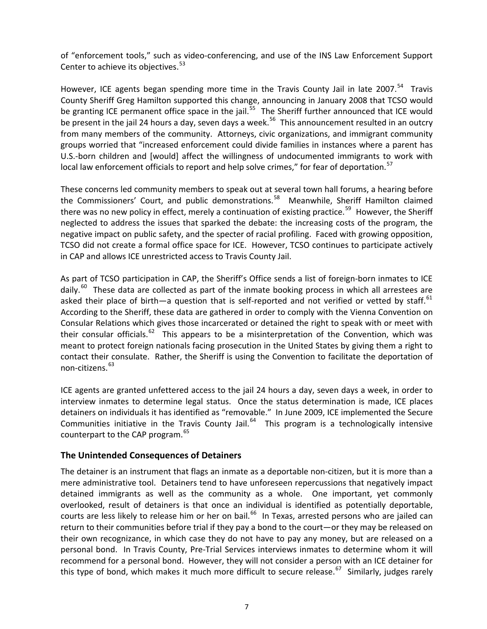<span id="page-7-0"></span>of "enforcement tools," such as video‐conferencing, and use of the INS Law Enforcement Support Center to achieve its objectives.<sup>[53](#page-20-0)</sup>

However, ICE agents began spending more time in the Travis County Jail in late 2007.<sup>[54](#page-20-0)</sup> Travis County Sheriff Greg Hamilton supported this change, announcing in January 2008 that TCSO would be granting ICE permanent office space in the jail.<sup>[55](#page-20-0)</sup> The Sheriff further announced that ICE would be present in the jail 24 hours a day, seven days a week.<sup>[56](#page-20-0)</sup> This announcement resulted in an outcry from many members of the community. Attorneys, civic organizations, and immigrant community groups worried that "increased enforcement could divide families in instances where a parent has U.S.‐born children and [would] affect the willingness of undocumented immigrants to work with local law enforcement officials to report and help solve crimes," for fear of deportation.<sup>[57](#page-20-0)</sup>

These concerns led community members to speak out at several town hall forums, a hearing before the Commissioners' Court, and public demonstrations.<sup>[58](#page-20-0)</sup> Meanwhile, Sheriff Hamilton claimed there was no new policy in effect, merely a continuation of existing practice.<sup>[59](#page-20-0)</sup> However, the Sheriff neglected to address the issues that sparked the debate: the increasing costs of the program, the negative impact on public safety, and the specter of racial profiling. Faced with growing opposition, TCSO did not create a formal office space for ICE. However, TCSO continues to participate actively in CAP and allows ICE unrestricted access to Travis County Jail.

As part of TCSO participation in CAP, the Sheriff's Office sends a list of foreign-born inmates to ICE daily.<sup>[60](#page-20-0)</sup> These data are collected as part of the inmate booking process in which all arrestees are asked their place of birth—a question that is self-reported and not verified or vetted by staff. $61$ According to the Sheriff, these data are gathered in order to comply with the Vienna Convention on Consular Relations which gives those incarcerated or detained the right to speak with or meet with their consular officials.<sup>[62](#page-20-0)</sup> This appears to be a misinterpretation of the Convention, which was meant to protect foreign nationals facing prosecution in the United States by giving them a right to contact their consulate. Rather, the Sheriff is using the Convention to facilitate the deportation of non-citizens.<sup>[63](#page-20-0)</sup>

ICE agents are granted unfettered access to the jail 24 hours a day, seven days a week, in order to interview inmates to determine legal status. Once the status determination is made, ICE places detainers on individuals it has identified as "removable." In June 2009, ICE implemented the Secure Communities initiative in the Travis County Jail.<sup>[64](#page-20-0)</sup> This program is a technologically intensive counterpart to the CAP program.<sup>[65](#page-20-0)</sup>

### **The Unintended Consequences of Detainers**

The detainer is an instrument that flags an inmate as a deportable non‐citizen, but it is more than a mere administrative tool. Detainers tend to have unforeseen repercussions that negatively impact detained immigrants as well as the community as a whole. One important, yet commonly overlooked, result of detainers is that once an individual is identified as potentially deportable, courts are less likely to release him or her on bail.<sup>[66](#page-20-0)</sup> In Texas, arrested persons who are jailed can return to their communities before trial if they pay a bond to the court—or they may be released on their own recognizance, in which case they do not have to pay any money, but are released on a personal bond. In Travis County, Pre-Trial Services interviews inmates to determine whom it will recommend for a personal bond. However, they will not consider a person with an ICE detainer for this type of bond, which makes it much more difficult to secure release.<sup>[67](#page-20-0)</sup> Similarly, judges rarely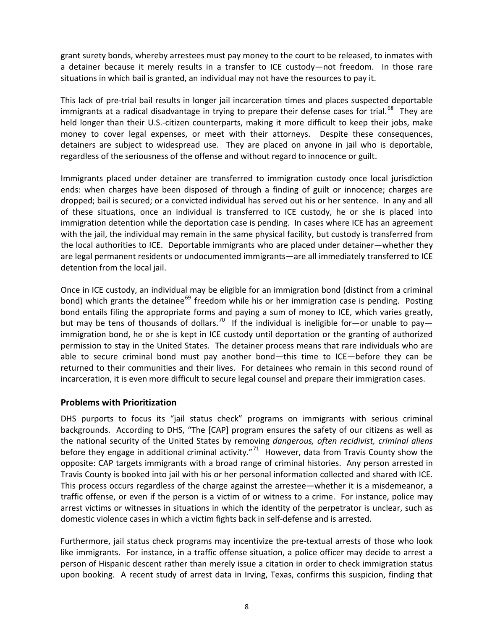<span id="page-8-0"></span>grant surety bonds, whereby arrestees must pay money to the court to be released, to inmates with a detainer because it merely results in a transfer to ICE custody—not freedom. In those rare situations in which bail is granted, an individual may not have the resources to pay it.

This lack of pre-trial bail results in longer jail incarceration times and places suspected deportable immigrants at a radical disadvantage in trying to prepare their defense cases for trial.<sup>[68](#page-20-0)</sup> Thev are held longer than their U.S.-citizen counterparts, making it more difficult to keep their jobs, make money to cover legal expenses, or meet with their attorneys. Despite these consequences, detainers are subject to widespread use. They are placed on anyone in jail who is deportable, regardless of the seriousness of the offense and without regard to innocence or guilt.

Immigrants placed under detainer are transferred to immigration custody once local jurisdiction ends: when charges have been disposed of through a finding of guilt or innocence; charges are dropped; bail is secured; or a convicted individual has served out his or her sentence. In any and all of these situations, once an individual is transferred to ICE custody, he or she is placed into immigration detention while the deportation case is pending. In cases where ICE has an agreement with the jail, the individual may remain in the same physical facility, but custody is transferred from the local authorities to ICE. Deportable immigrants who are placed under detainer—whether they are legal permanent residents or undocumented immigrants—are all immediately transferred to ICE detention from the local jail.

Once in ICE custody, an individual may be eligible for an immigration bond (distinct from a criminal bond) which grants the detainee<sup>[69](#page-20-0)</sup> freedom while his or her immigration case is pending. Posting bond entails filing the appropriate forms and paying a sum of money to ICE, which varies greatly, but may be tens of thousands of dollars.<sup>[70](#page-20-0)</sup> If the individual is ineligible for—or unable to pay immigration bond, he or she is kept in ICE custody until deportation or the granting of authorized permission to stay in the United States. The detainer process means that rare individuals who are able to secure criminal bond must pay another bond—this time to ICE—before they can be returned to their communities and their lives. For detainees who remain in this second round of incarceration, it is even more difficult to secure legal counsel and prepare their immigration cases.

### **Problems with Prioritization**

DHS purports to focus its "jail status check" programs on immigrants with serious criminal backgrounds. According to DHS, "The [CAP] program ensures the safety of our citizens as well as the national security of the United States by removing *dangerous, often recidivist, criminal aliens* before they engage in additional criminal activity."<sup>[71](#page-20-0)</sup> However, data from Travis County show the opposite: CAP targets immigrants with a broad range of criminal histories. Any person arrested in Travis County is booked into jail with his or her personal information collected and shared with ICE. This process occurs regardless of the charge against the arrestee—whether it is a misdemeanor, a traffic offense, or even if the person is a victim of or witness to a crime. For instance, police may arrest victims or witnesses in situations in which the identity of the perpetrator is unclear, such as domestic violence cases in which a victim fights back in self‐defense and is arrested.

Furthermore, jail status check programs may incentivize the pre-textual arrests of those who look like immigrants. For instance, in a traffic offense situation, a police officer may decide to arrest a person of Hispanic descent rather than merely issue a citation in order to check immigration status upon booking. A recent study of arrest data in Irving, Texas, confirms this suspicion, finding that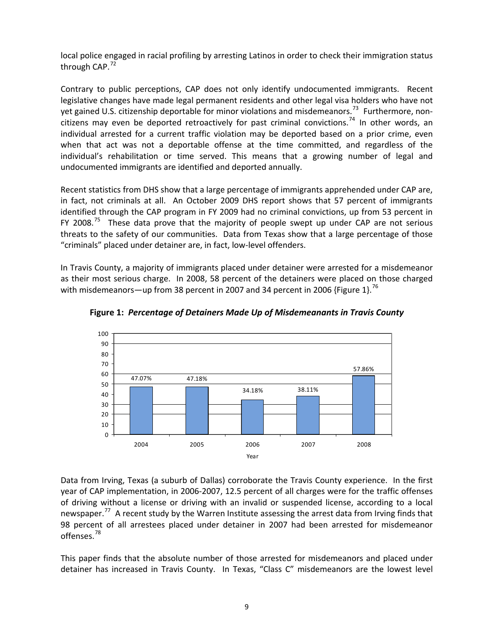local police engaged in racial profiling by arresting Latinos in order to check their immigration status through CAP.<sup>[72](#page-20-0)</sup>

Contrary to public perceptions, CAP does not only identify undocumented immigrants. Recent legislative changes have made legal permanent residents and other legal visa holders who have not yet gained U.S. citizenship deportable for minor violations and misdemeanors.<sup>[73](#page-20-0)</sup> Furthermore, non-citizens may even be deported retroactively for past criminal convictions.<sup>[74](#page-20-0)</sup> In other words, an individual arrested for a current traffic violation may be deported based on a prior crime, even when that act was not a deportable offense at the time committed, and regardless of the individual's rehabilitation or time served. This means that a growing number of legal and undocumented immigrants are identified and deported annually.

Recent statistics from DHS show that a large percentage of immigrants apprehended under CAP are, in fact, not criminals at all. An October 2009 DHS report shows that 57 percent of immigrants identified through the CAP program in FY 2009 had no criminal convictions, up from 53 percent in FY 2008.<sup>[75](#page-21-0)</sup> These data prove that the majority of people swept up under CAP are not serious threats to the safety of our communities. Data from Texas show that a large percentage of those "criminals" placed under detainer are, in fact, low‐level offenders.

In Travis County, a majority of immigrants placed under detainer were arrested for a misdemeanor as their most serious charge. In 2008, 58 percent of the detainers were placed on those charged with misdemeanors—up from 38 percent in 2007 and 34 percent in 2006 {Figure 1}.<sup>[76](#page-21-0)</sup>



**Figure 1:** *Percentage of Detainers Made Up of Misdemeanants in Travis County*

Data from Irving, Texas (a suburb of Dallas) corroborate the Travis County experience. In the first year of CAP implementation, in 2006‐2007, 12.5 percent of all charges were for the traffic offenses of driving without a license or driving with an invalid or suspended license, according to a local newspaper.<sup>[77](#page-21-0)</sup> A recent study by the Warren Institute assessing the arrest data from Irving finds that 98 percent of all arrestees placed under detainer in 2007 had been arrested for misdemeanor offenses.[78](#page-21-0)

This paper finds that the absolute number of those arrested for misdemeanors and placed under detainer has increased in Travis County. In Texas, "Class C" misdemeanors are the lowest level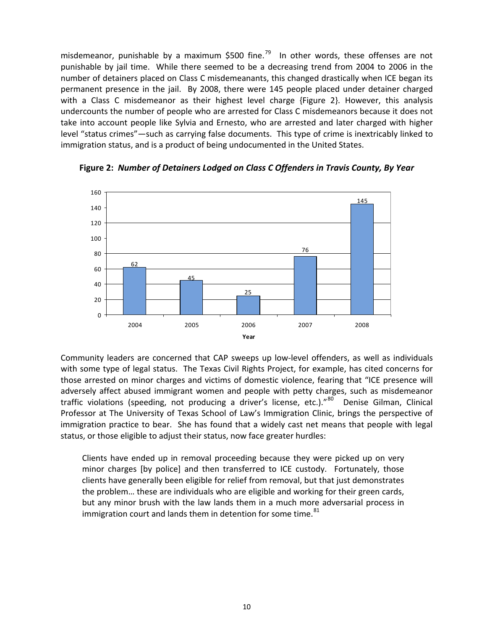misdemeanor, punishable by a maximum \$500 fine.<sup>[79](#page-21-0)</sup> In other words, these offenses are not punishable by jail time. While there seemed to be a decreasing trend from 2004 to 2006 in the number of detainers placed on Class C misdemeanants, this changed drastically when ICE began its permanent presence in the jail. By 2008, there were 145 people placed under detainer charged with a Class C misdemeanor as their highest level charge {Figure 2}. However, this analysis undercounts the number of people who are arrested for Class C misdemeanors because it does not take into account people like Sylvia and Ernesto, who are arrested and later charged with higher level "status crimes"—such as carrying false documents. This type of crime is inextricably linked to immigration status, and is a product of being undocumented in the United States.



**Figure 2:** *Number of Detainers Lodged on Class C Offenders in Travis County, By Year*

Community leaders are concerned that CAP sweeps up low-level offenders, as well as individuals with some type of legal status. The Texas Civil Rights Project, for example, has cited concerns for those arrested on minor charges and victims of domestic violence, fearing that "ICE presence will adversely affect abused immigrant women and people with petty charges, such as misdemeanor traffic violations (speeding, not producing a driver's license, etc.)."<sup>[80](#page-21-0)</sup> Denise Gilman, Clinical Professor at The University of Texas School of Law's Immigration Clinic, brings the perspective of immigration practice to bear. She has found that a widely cast net means that people with legal status, or those eligible to adjust their status, now face greater hurdles:

Clients have ended up in removal proceeding because they were picked up on very minor charges [by police] and then transferred to ICE custody. Fortunately, those clients have generally been eligible for relief from removal, but that just demonstrates the problem… these are individuals who are eligible and working for their green cards, but any minor brush with the law lands them in a much more adversarial process in immigration court and lands them in detention for some time.<sup>[81](#page-21-0)</sup>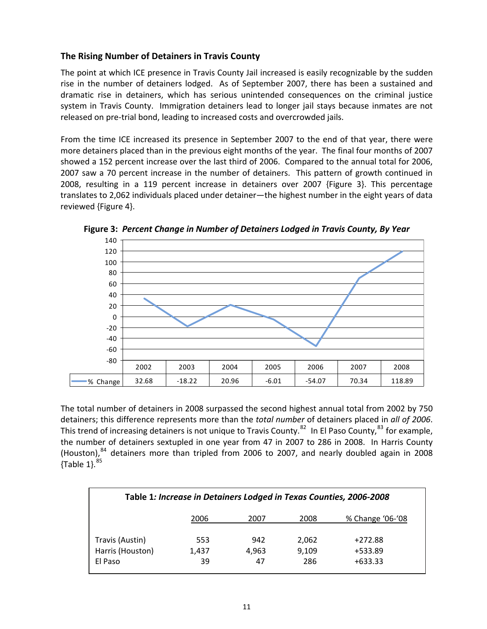### <span id="page-11-0"></span>**The Rising Number of Detainers in Travis County**

The point at which ICE presence in Travis County Jail increased is easily recognizable by the sudden rise in the number of detainers lodged. As of September 2007, there has been a sustained and dramatic rise in detainers, which has serious unintended consequences on the criminal justice system in Travis County. Immigration detainers lead to longer jail stays because inmates are not released on pre‐trial bond, leading to increased costs and overcrowded jails.

From the time ICE increased its presence in September 2007 to the end of that year, there were more detainers placed than in the previous eight months of the year. The final four months of 2007 showed a 152 percent increase over the last third of 2006. Compared to the annual total for 2006, 2007 saw a 70 percent increase in the number of detainers. This pattern of growth continued in 2008, resulting in a 119 percent increase in detainers over 2007 {Figure 3}. This percentage translates to 2,062 individuals placed under detainer—the highest number in the eight years of data reviewed {Figure 4}.



**Figure 3:** *Percent Change in Number of Detainers Lodged in Travis County, By Year*

The total number of detainers in 2008 surpassed the second highest annual total from 2002 by 750 detainers; this difference represents more than the *total number* of detainers placed in *all of 2006*. This trend of increasing detainers is not unique to Travis County.<sup>[82](#page-21-0)</sup> In El Paso County,<sup>[83](#page-21-0)</sup> for example, the number of detainers sextupled in one year from 47 in 2007 to 286 in 2008. In Harris County (Houston), <sup>[84](#page-21-0)</sup> detainers more than tripled from 2006 to 2007, and nearly doubled again in 2008  ${Table 1}$ .  $85$ 

| Table 1: Increase in Detainers Lodged in Texas Counties, 2006-2008 |                    |                    |                       |                                   |  |  |
|--------------------------------------------------------------------|--------------------|--------------------|-----------------------|-----------------------------------|--|--|
|                                                                    | 2006               | 2007               | 2008                  | % Change '06-'08                  |  |  |
| Travis (Austin)<br>Harris (Houston)<br>El Paso                     | 553<br>1,437<br>39 | 942<br>4.963<br>47 | 2,062<br>9.109<br>286 | $+272.88$<br>+533.89<br>$+633.33$ |  |  |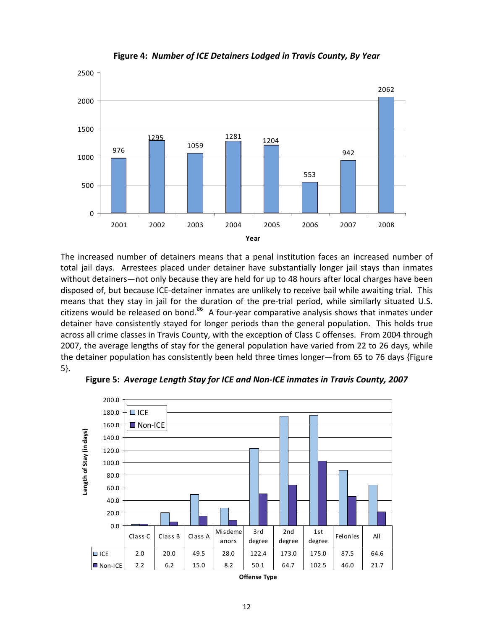



The increased number of detainers means that a penal institution faces an increased number of total jail days. Arrestees placed under detainer have substantially longer jail stays than inmates without detainers—not only because they are held for up to 48 hours after local charges have been disposed of, but because ICE‐detainer inmates are unlikely to receive bail while awaiting trial. This means that they stay in jail for the duration of the pre-trial period, while similarly situated U.S. citizens would be released on bond.<sup>[86](#page-21-0)</sup> A four-year comparative analysis shows that inmates under detainer have consistently stayed for longer periods than the general population. This holds true across all crime classes in Travis County, with the exception of Class C offenses. From 2004 through 2007, the average lengths of stay for the general population have varied from 22 to 26 days, while the detainer population has consistently been held three times longer—from 65 to 76 days {Figure 5}.



**Figure 5:** *Average Length Stay for ICE and Non‐ICE inmates in Travis County, 2007*

**Offense Type**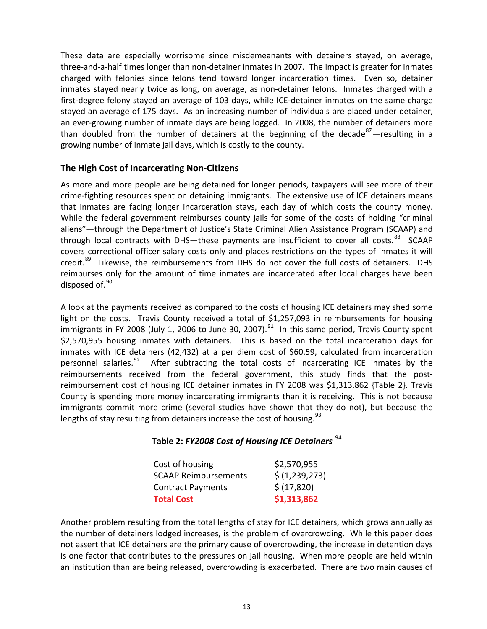<span id="page-13-0"></span>These data are especially worrisome since misdemeanants with detainers stayed, on average, three‐and‐a‐half times longer than non‐detainer inmates in 2007. The impact is greater for inmates charged with felonies since felons tend toward longer incarceration times. Even so, detainer inmates stayed nearly twice as long, on average, as non-detainer felons. Inmates charged with a first-degree felony stayed an average of 103 days, while ICE-detainer inmates on the same charge stayed an average of 175 days. As an increasing number of individuals are placed under detainer, an ever-growing number of inmate days are being logged. In 2008, the number of detainers more than doubled from the number of detainers at the beginning of the decade<sup>[87](#page-21-0)</sup>—resulting in a growing number of inmate jail days, which is costly to the county.

### **The High Cost of Incarcerating Non‐Citizens**

As more and more people are being detained for longer periods, taxpayers will see more of their crime‐fighting resources spent on detaining immigrants. The extensive use of ICE detainers means that inmates are facing longer incarceration stays, each day of which costs the county money. While the federal government reimburses county jails for some of the costs of holding "criminal aliens"—through the Department of Justice's State Criminal Alien Assistance Program (SCAAP) and through local contracts with DHS—these payments are insufficient to cover all costs.<sup>[88](#page-21-0)</sup> SCAAP covers correctional officer salary costs only and places restrictions on the types of inmates it will credit.<sup>[89](#page-21-0)</sup> Likewise, the reimbursements from DHS do not cover the full costs of detainers. DHS reimburses only for the amount of time inmates are incarcerated after local charges have been disposed of. $90$ 

A look at the payments received as compared to the costs of housing ICE detainers may shed some light on the costs. Travis County received a total of \$1,257,093 in reimbursements for housing immigrants in FY 2008 (July 1, 2006 to June 30, 2007).<sup>[91](#page-21-0)</sup> In this same period, Travis County spent \$2,570,955 housing inmates with detainers. This is based on the total incarceration days for inmates with ICE detainers (42,432) at a per diem cost of \$60.59, calculated from incarceration personnel salaries. $92$  After subtracting the total costs of incarcerating ICE inmates by the reimbursements received from the federal government, this study finds that the postreimbursement cost of housing ICE detainer inmates in FY 2008 was \$1,313,862 {Table 2}. Travis County is spending more money incarcerating immigrants than it is receiving. This is not because immigrants commit more crime (several studies have shown that they do not), but because the lengths of stay resulting from detainers increase the cost of housing. $93$ 

|  |  |  |  |  |  |  | Table 2: FY2008 Cost of Housing ICE Detainers <sup>94</sup> |  |
|--|--|--|--|--|--|--|-------------------------------------------------------------|--|
|--|--|--|--|--|--|--|-------------------------------------------------------------|--|

| Cost of housing          | \$2,570,955    |  |  |  |
|--------------------------|----------------|--|--|--|
| SCAAP Reimbursements     | \$ (1,239,273) |  |  |  |
| <b>Contract Payments</b> | \$ (17,820)    |  |  |  |
| <b>Total Cost</b>        | \$1,313,862    |  |  |  |

Another problem resulting from the total lengths of stay for ICE detainers, which grows annually as the number of detainers lodged increases, is the problem of overcrowding. While this paper does not assert that ICE detainers are the primary cause of overcrowding, the increase in detention days is one factor that contributes to the pressures on jail housing. When more people are held within an institution than are being released, overcrowding is exacerbated. There are two main causes of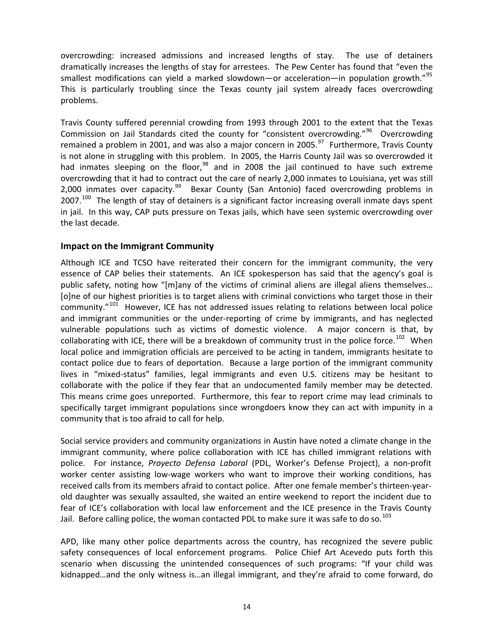<span id="page-14-0"></span>overcrowding: increased admissions and increased lengths of stay. The use of detainers dramatically increases the lengths of stay for arrestees. The Pew Center has found that "even the smallest modifications can yield a marked slowdown—or acceleration—in population growth."<sup>[95](#page-21-0)</sup> This is particularly troubling since the Texas county jail system already faces overcrowding problems.

Travis County suffered perennial crowding from 1993 through 2001 to the extent that the Texas Commission on Jail Standards cited the county for "consistent overcrowding."<sup>[96](#page-21-0)</sup> Overcrowding remained a problem in 2001, and was also a major concern in 2005.<sup>[97](#page-21-0)</sup> Furthermore, Travis County is not alone in struggling with this problem. In 2005, the Harris County Jail was so overcrowded it had inmates sleeping on the floor,  $98$  and in 2008 the jail continued to have such extreme overcrowding that it had to contract out the care of nearly 2,000 inmates to Louisiana, yet was still 2,000 inmates over capacity.<sup>[99](#page-21-0)</sup> Bexar County (San Antonio) faced overcrowding problems in  $2007.<sup>100</sup>$  $2007.<sup>100</sup>$  $2007.<sup>100</sup>$  The length of stay of detainers is a significant factor increasing overall inmate days spent in jail. In this way, CAP puts pressure on Texas jails, which have seen systemic overcrowding over the last decade.

### **Impact on the Immigrant Community**

specifically target immigrant populations since wrongdoers know they can act with impunity in a community that is too afraid to call for help. Although ICE and TCSO have reiterated their concern for the immigrant community, the very essence of CAP belies their statements. An ICE spokesperson has said that the agency's goal is public safety, noting how "[m]any of the victims of criminal aliens are illegal aliens themselves... [o]ne of our highest priorities is to target aliens with criminal convictions who target those in their  $community." <sup>101</sup>$  $community." <sup>101</sup>$  $community." <sup>101</sup>$  However, ICE has not addressed issues relating to relations between local police and immigrant communities or the under-reporting of crime by immigrants, and has neglected vulnerable populations such as victims of domestic violence. A major concern is that, by collaborating with ICE, there will be a breakdown of community trust in the police force.<sup>[102](#page-21-0)</sup> When local police and immigration officials are perceived to be acting in tandem, immigrants hesitate to contact police due to fears of deportation. Because a large portion of the immigrant community lives in "mixed-status" families, legal immigrants and even U.S. citizens may be hesitant to collaborate with the police if they fear that an undocumented family member may be detected. This means crime goes unreported. Furthermore, this fear to report crime may lead criminals to

fear of ICE's collaboration with local law enforcement and the ICE presence in the Travis County Jail. Before calling police, the woman contacted PDL to make sure it was safe to do so. $^{103}$ Social service providers and community organizations in Austin have noted a climate change in the immigrant community, where police collaboration with ICE has chilled immigrant relations with police. For instance, *Proyecto Defensa Laboral* (PDL, Worker's Defense Project), a non‐profit worker center assisting low-wage workers who want to improve their working conditions, has received calls from its members afraid to contact police. After one female member's thirteen‐year‐ old daughter was sexually assaulted, she waited an entire weekend to report the incident due to

kidnapped…and the only witness is…an illegal immigrant, and they're afraid to come forward, do APD, like many other police departments across the country, has recognized the severe public safety consequences of local enforcement programs. Police Chief Art Acevedo puts forth this scenario when discussing the unintended consequences of such programs: "If your child was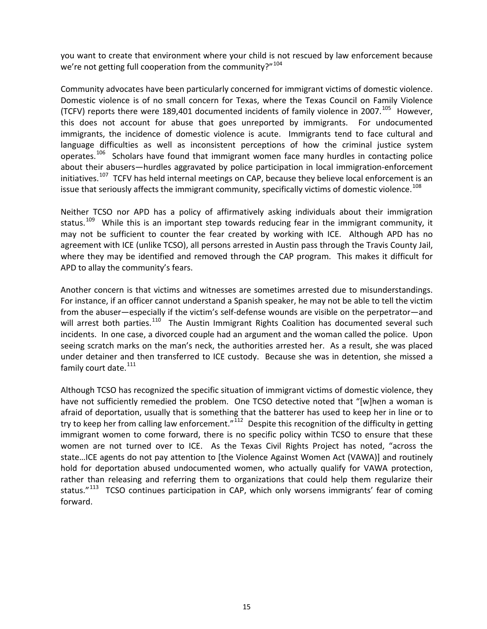you want to create that environment where your child is not rescued by law enforcement because we're not getting full cooperation from the community?"<sup>[104](#page-21-0)</sup>

Community advocates have been particularly concerned for immigrant victims of domestic violence. Domestic violence is of no small concern for Texas, where the Texas Council on Family Violence (TCFV) reports there were 189,401 documented incidents of family violence in 2007.<sup>[105](#page-21-0)</sup> However, this does not account for abuse that goes unreported by immigrants. For undocumented immigrants, the incidence of domestic violence is acute. Immigrants tend to face cultural and language difficulties as well as inconsistent perceptions of how the criminal justice system operates.<sup>[106](#page-22-0)</sup> Scholars have found that immigrant women face many hurdles in contacting police about their abusers—hurdles aggravated by police participation in local immigration‐enforcement initiatives.<sup>[107](#page-22-0)</sup> TCFV has held internal meetings on CAP, because they believe local enforcement is an issue that seriously affects the immigrant community, specifically victims of domestic violence.<sup>[108](#page-22-0)</sup>

Neither TCSO nor APD has a policy of affirmatively asking individuals about their immigration status.<sup>[109](#page-22-0)</sup> While this is an important step towards reducing fear in the immigrant community, it may not be sufficient to counter the fear created by working with ICE. Although APD has no agreement with ICE (unlike TCSO), all persons arrested in Austin pass through the Travis County Jail, where they may be identified and removed through the CAP program. This makes it difficult for APD to allay the community's fears.

Another concern is that victims and witnesses are sometimes arrested due to misunderstandings. For instance, if an officer cannot understand a Spanish speaker, he may not be able to tell the victim from the abuser—especially if the victim's self-defense wounds are visible on the perpetrator—and will arrest both parties.<sup>[110](#page-22-0)</sup> The Austin Immigrant Rights Coalition has documented several such incidents. In one case, a divorced couple had an argument and the woman called the police. Upon seeing scratch marks on the man's neck, the authorities arrested her. As a result, she was placed under detainer and then transferred to ICE custody. Because she was in detention, she missed a family court date.<sup>[111](#page-22-0)</sup>

Although TCSO has recognized the specific situation of immigrant victims of domestic violence, they have not sufficiently remedied the problem. One TCSO detective noted that "[w]hen a woman is afraid of deportation, usually that is something that the batterer has used to keep her in line or to try to keep her from calling law enforcement." $112$  Despite this recognition of the difficulty in getting immigrant women to come forward, there is no specific policy within TCSO to ensure that these women are not turned over to ICE. As the Texas Civil Rights Project has noted, "across the state…ICE agents do not pay attention to [the Violence Against Women Act (VAWA)] and routinely hold for deportation abused undocumented women, who actually qualify for VAWA protection, rather than releasing and referring them to organizations that could help them regularize their status. $113$  TCSO continues participation in CAP, which only worsens immigrants' fear of coming forward.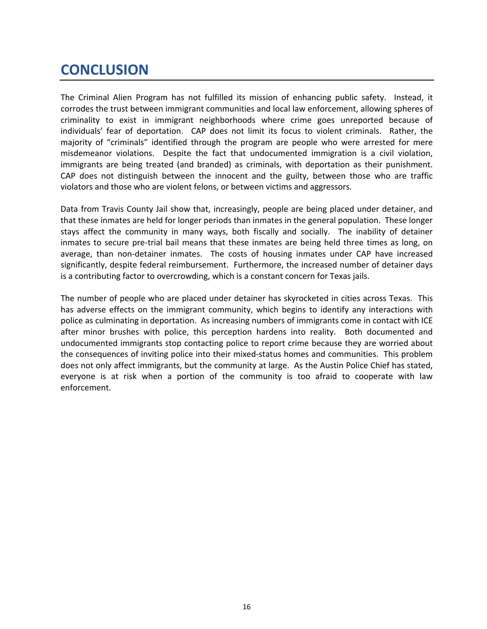### <span id="page-16-0"></span>**CONCLUSION**

The Criminal Alien Program has not fulfilled its mission of enhancing public safety. Instead, it corrodes the trust between immigrant communities and local law enforcement, allowing spheres of criminality to exist in immigrant neighborhoods where crime goes unreported because of individuals' fear of deportation. CAP does not limit its focus to violent criminals. Rather, the majority of "criminals" identified through the program are people who were arrested for mere misdemeanor violations. Despite the fact that undocumented immigration is a civil violation, immigrants are being treated (and branded) as criminals, with deportation as their punishment. CAP does not distinguish between the innocent and the guilty, between those who are traffic violators and those who are violent felons, or between victims and aggressors.

Data from Travis County Jail show that, increasingly, people are being placed under detainer, and that these inmates are held for longer periods than inmates in the general population. These longer stays affect the community in many ways, both fiscally and socially. The inability of detainer inmates to secure pre-trial bail means that these inmates are being held three times as long, on average, than non-detainer inmates. The costs of housing inmates under CAP have increased significantly, despite federal reimbursement. Furthermore, the increased number of detainer days is a contributing factor to overcrowding, which is a constant concern for Texas jails.

The number of people who are placed under detainer has skyrocketed in cities across Texas. This has adverse effects on the immigrant community, which begins to identify any interactions with police as culminating in deportation. As increasing numbers of immigrants come in contact with ICE after minor brushes with police, this perception hardens into reality. Both documented and undocumented immigrants stop contacting police to report crime because they are worried about the consequences of inviting police into their mixed‐status homes and communities. This problem does not only affect immigrants, but the community at large. As the Austin Police Chief has stated, everyone is at risk when a portion of the community is too afraid to cooperate with law enforcement.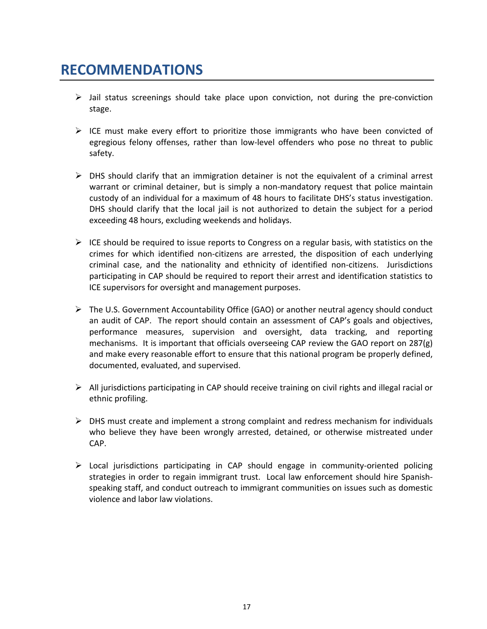### <span id="page-17-0"></span>**RECOMMENDATIONS**

- $\triangleright$  Jail status screenings should take place upon conviction, not during the pre-conviction stage.
- $\triangleright$  ICE must make every effort to prioritize those immigrants who have been convicted of egregious felony offenses, rather than low-level offenders who pose no threat to public safety.
- $\triangleright$  DHS should clarify that an immigration detainer is not the equivalent of a criminal arrest warrant or criminal detainer, but is simply a non-mandatory request that police maintain custody of an individual for a maximum of 48 hours to facilitate DHS's status investigation. DHS should clarify that the local jail is not authorized to detain the subject for a period exceeding 48 hours, excluding weekends and holidays.
- $\triangleright$  ICE should be required to issue reports to Congress on a regular basis, with statistics on the crimes for which identified non‐citizens are arrested, the disposition of each underlying criminal case, and the nationality and ethnicity of identified non‐citizens. Jurisdictions participating in CAP should be required to report their arrest and identification statistics to ICE supervisors for oversight and management purposes.
- $\triangleright$  The U.S. Government Accountability Office (GAO) or another neutral agency should conduct an audit of CAP. The report should contain an assessment of CAP's goals and objectives, performance measures, supervision and oversight, data tracking, and reporting mechanisms. It is important that officials overseeing CAP review the GAO report on 287(g) and make every reasonable effort to ensure that this national program be properly defined, documented, evaluated, and supervised.
- $\triangleright$  All jurisdictions participating in CAP should receive training on civil rights and illegal racial or ethnic profiling.
- $\triangleright$  DHS must create and implement a strong complaint and redress mechanism for individuals who believe they have been wrongly arrested, detained, or otherwise mistreated under CAP.
- ¾ Local jurisdictions participating in CAP should engage in community‐oriented policing strategies in order to regain immigrant trust. Local law enforcement should hire Spanish‐ speaking staff, and conduct outreach to immigrant communities on issues such as domestic violence and labor law violations.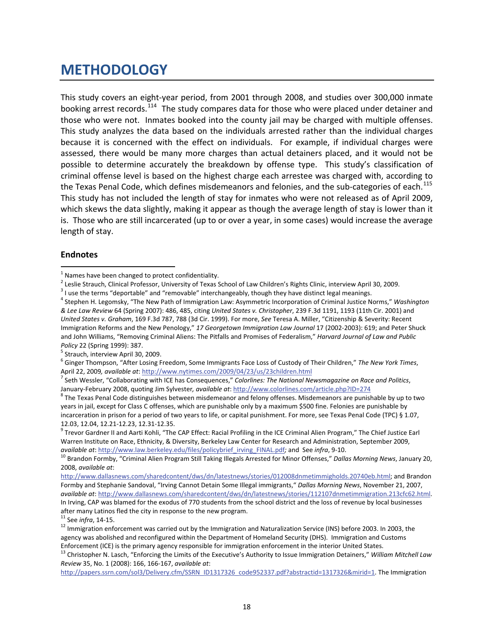### <span id="page-18-2"></span><span id="page-18-0"></span>**METHODOLOGY**

This study covers an eight‐year period, from 2001 through 2008, and studies over 300,000 inmate booking arrest records.<sup>[114](#page-22-0)</sup> The study compares data for those who were placed under detainer and those who were not. Inmates booked into the county jail may be charged with multiple offenses. This study analyzes the data based on the individuals arrested rather than the individual charges because it is concerned with the effect on individuals. For example, if individual charges were assessed, there would be many more charges than actual detainers placed, and it would not be possible to determine accurately the breakdown by offense type. This study's classification of criminal offense level is based on the highest charge each arrestee was charged with, according to the Texas Penal Code, which defines misdemeanors and felonies, and the sub-categories of each.<sup>[115](#page-22-1)</sup> This study has not included the length of stay for inmates who were not released as of April 2009, which skews the data slightly, making it appear as though the average length of stay is lower than it is. Those who are still incarcerated (up to or over a year, in some cases) would increase the average length of stay.

#### **Endnotes**

1

January-February 2008, quoting Jim Sylvester, available at: <http://www.colorlines.com/article.php?ID=274><br><sup>8</sup> The Texas Penal Code distinguishes between misdemeanor and felony offenses. Misdemeanors are punishable by up to years in jail, except for Class C offenses, which are punishable only by a maximum \$500 fine. Felonies are punishable by incarceration in prison for a period of two years to life, or capital punishment. For more, see Texas Penal Code (TPC) § 1.07, 12.03, 12.04, 12.21-12.23, 12.31-12.35.

12.03, 12.04, 12.24, 12.23, 12.24, 12.23.<br><sup>9</sup> Trevor Gardner II and Aarti Kohli, "The CAP Effect: Racial Profiling in the ICE Criminal Alien Program," The Chief Justice Earl Warren Institute on Race, Ethnicity, & Diversity, Berkeley Law Center for Research and Administration, September 2009,

[http://www.dallasnews.com/sharedcontent/dws/dn/latestnews/stories/012008dnmetimmigholds.20740eb.html;](http://www.dallasnews.com/sharedcontent/dws/dn/latestnews/stories/012008dnmetimmigholds.20740eb.html) and Brandon Formby and Stephanie Sandoval, "Irving Cannot Detain Some Illegal immigrants," *Dallas Morning News*, November 21, 2007, *available at*: <http://www.dallasnews.com/sharedcontent/dws/dn/latestnews/stories/112107dnmetimmigration.213cfc62.html>. In Irving, CAP was blamed for the exodus of 770 students from the school district and the loss of revenue by local businesses after many Latinos fled the city in response to the new program.<br><sup>11</sup> See *infra*, 14-15.<br><sup>12</sup> Immigration enforcement was carried out by the Immigration and Naturalization Service (INS) before 2003. In 2003, the

<span id="page-18-1"></span><sup>&</sup>lt;sup>1</sup> Names have been changed to protect confidentiality.<br>
<sup>2</sup> Leslie Strauch, Clinical Professor, University of Texas School of Law Children's Rights Clinic, interview April 30, 2009.<br>
<sup>3</sup> I use the terms "deportable" and *& Lee Law Review* 64 (Spring 2007): 486, 485, citing *United States v. Christopher*, 239 F.3d 1191, 1193 (11th Cir. 2001) and *United States v. Graham*, 169 F.3d 787, 788 (3d Cir. 1999). For more, *See* Teresa A. Miller, "Citizenship & Severity: Recent Immigration Reforms and the New Penology," *17 Georgetown Immigration Law Journal* 17 (2002‐2003): 619; and Peter Shuck and John Williams, "Removing Criminal Aliens: The Pitfalls and Promises of Federalism," *Harvard Journal of Law and Public*

*Policy* 22 (Spring 1999): 387.<br><sup>5</sup> Strauch, interview April 30, 2009.<br><sup>6</sup> Ginger Thompson, "After Losing Freedom, Some Immigrants Face Loss of Custody of Their Children," *The New York Times*,<br>April 22, 2009, *available a* 

<sup>&</sup>lt;sup>7</sup> Seth Wessler, "Collaborating with ICE has Consequences," Colorlines: The National Newsmagazine on Race and Politics,

available at: http://www.law.berkeley.edu/files/policybrief irving FINAL.pdf; and See infra, 9-10.<br><sup>10</sup> Brandon Formby, "Criminal Alien Program Still Taking Illegals Arrested for Minor Offenses," Dallas Morning News, Janua 2008, *available at*:

agency was abolished and reconfigured within the Department of Homeland Security (DHS). Immigration and Customs<br>Enforcement (ICE) is the primary agency responsible for immigration enforcement in the interior United States.

<sup>&</sup>lt;sup>13</sup> Christopher N. Lasch, "Enforcing the Limits of the Executive's Authority to Issue Immigration Detainers," William Mitchell Law *Review* 35, No. 1 (2008): 166, 166‐167, *available at*:

[http://papers.ssrn.com/sol3/Delivery.cfm/SSRN\\_ID1317326\\_code952337.pdf?abstractid=1317326&mirid=1](http://papers.ssrn.com/sol3/Delivery.cfm/SSRN_ID1317326_code952337.pdf?abstractid=1317326&mirid=1). The Immigration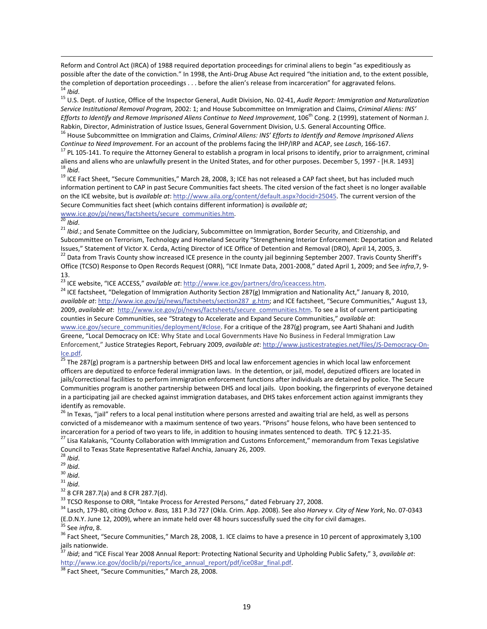<span id="page-19-0"></span>Reform and Control Act (IRCA) of 1988 required deportation proceedings for criminal aliens to begin "as expeditiously as possible after the date of the conviction." In 1998, the Anti-Drug Abuse Act required "the initiation and, to the extent possible, the completion of deportation proceedings . . . before the alien's release from incarcerati

<sup>14</sup> Ibid.<br><sup>15</sup> U.S. Dept. of Justice, Office of the Inspector General, Audit Division, No. 02-41, Audit Report: Immigration and Naturalization *Service Institutional Removal Program,* 2002: 1; and House Subcommittee on Immigration and Claims, *Criminal Aliens: INS' Efforts to Identify and Remove Imprisoned Aliens Continue to Need Improvement*, 106th Cong. 2 (1999), statement of Norman J.

<sup>16</sup> House Subcommittee on Immigration and Claims, Criminal Aliens: INS' Efforts to Identify and Remove Imprisoned Aliens<br>Continue to Need Improvement. For an account of the problems facing the IHP/IRP and ACAP, see Lasch,

<sup>17</sup> PL 105-141. To require the Attorney General to establish a program in local prisons to identify, prior to arraignment, criminal aliens and aliens who are unlawfully present in the United States, and for other purposes. December 5, 1997 - [H.R. 1493]<br><sup>18</sup> *Ibid.*<br><sup>19</sup> ICE Fact Sheet, "Secure Communities," March 28, 2008, 3; ICE has not released a CA

information pertinent to CAP in past Secure Communities fact sheets. The cited version of the fact sheet is no longer available on the ICE website, but is *available at*: <http://www.aila.org/content/default.aspx?docid=25045>. The current version of the Secure Communities fact sheet (which contains different information) is *available at*;

1

[www.ice.gov/pi/news/factsheets/secure\\_communities.htm](http://www.ice.gov/pi/news/factsheets/secure_communities.htm).<br><sup>20</sup> *Ibid*.<br><sup>21</sup> *Ibid*.; and Senate Committee on the Judiciary, Subcommittee on Immigration, Border Security, and Citizenship, and Subcommittee on Terrorism, Technology and Homeland Security "Strengthening Interior Enforcement: Deportation and Related<br>Issues," Statement of Victor X. Cerda, Acting Director of ICE Office of Detention and Removal (DRO), <sup>22</sup> Data from Travis County show increased ICE presence in the county jail beginning September 2007. Travis County Sheriff's

Office (TCSO) Response to Open Records Request (ORR), "ICE Inmate Data, 2001-2008," dated April 1, 2009; and See *infra*, 7, 913.<br><sup>23</sup> ICE website, "ICE ACCESS," available at: <http://www.ice.gov/partners/dro/iceaccess.htm>.<br><sup>24</sup> ICE factsheet, "Delegation of Immigration Authority Section 287(g) Immigration and Nationality Act," January 8, 2010,

*available at*: [http://www.ice.gov/pi/news/factsheets/section287\\_g.htm;](http://www.ice.gov/pi/news/factsheets/section287_g.htm) and ICE factsheet, "Secure Communities," August 13, 2009, *available at*: [http://www.ice.gov/pi/news/factsheets/secure\\_communities.htm.](http://www.ice.gov/pi/news/factsheets/secure_communities.htm) To see a list of current participating counties in Secure Communities, see "Strategy to Accelerate and Expand Secure Communities," *available at*: [www.ice.gov/secure\\_communities/deployment/#close](http://www.ice.gov/secure_communities/deployment/#close). For a critique of the 287(g) program, see Aarti Shahani and Judith Greene, "Local Democracy on ICE: Why State and Local Governments Have No Business in Federal Immigration Law Enforcement," Justice Strategies Report, February 2009, *available at*: [http://www.justicestrategies.net/files/JS](http://www.justicestrategies.net/files/JS-Democracy-On-Ice.pdf)‐Democracy‐On‐  $\frac{Ice.pdf}{25}$  $\frac{Ice.pdf}{25}$  $\frac{Ice.pdf}{25}$ The 287(g) program is a partnership between DHS and local law enforcement agencies in which local law enforcement

officers are deputized to enforce federal immigration laws. In the detention, or jail, model, deputized officers are located in jails/correctional facilities to perform immigration enforcement functions after individuals are detained by police. The Secure Communities program is another partnership between DHS and local jails. Upon booking, the fingerprints of everyone detained in a participating jail are checked against immigration databases, and DHS takes enforcement action against immigrants they

identify as removable.<br><sup>26</sup> In Texas, "jail" refers to a local penal institution where persons arrested and awaiting trial are held, as well as persons convicted of a misdemeanor with a maximum sentence of two years. "Prisons" house felons, who have been sentenced to

incarceration for a period of two years to life, in addition to housing inmates sentenced to death. TPC § 12.21-35.<br><sup>27</sup> Lisa Kalakanis, "County Collaboration with Immigration and Customs Enforcement," memorandum from Tex Council to Texas State Representative Rafael Anchia, January 26, 2009.<br><sup>28</sup> *Ibid.*<br><sup>39</sup> *Ibid.*<br><sup>31</sup> *Ibid.*<br><sup>32</sup> 8 CFR 287.7(a) and 8 CFR 287.7(d).<br><sup>33</sup> TCSO Response to ORR, "Intake Process for Arrested Persons," dated

- 
- 

(E.D.N.Y. June 12, 2009), where an inmate held over 48 hours successfully sued the city for civil damages.<br><sup>35</sup> See *infra*, 8.<br><sup>36</sup> Fact Sheet, "Secure Communities," March 28, 2008, 1. ICE claims to have a presence in 10

*Ibid*; and "ICE Fiscal Year 2008 Annual Report: Protecting National Security and Upholding Public Safety," 3, *available at*: [http://www.ice.gov/doclib/pi/reports/ice\\_annual\\_report/pdf/ice08ar\\_final.pdf](http://www.ice.gov/doclib/pi/reports/ice_annual_report/pdf/ice08ar_final.pdf).<br><sup>38</sup> Fact Sheet, "Secure Communities," March 28, 2008.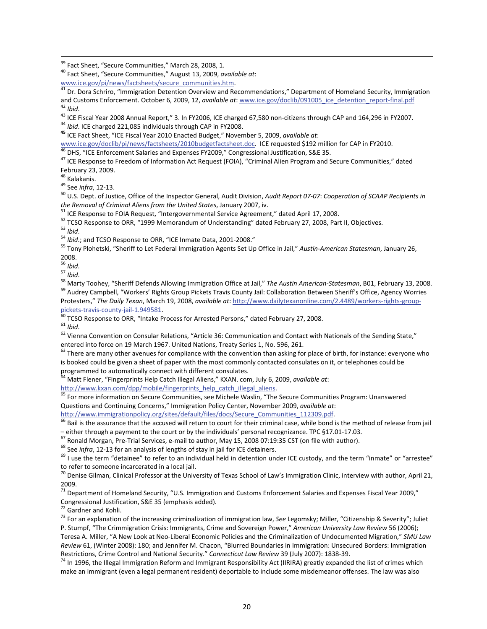<span id="page-20-0"></span><sup>39</sup> Fact Sheet, "Secure Communities," March 28, 2008, 1.<br><sup>40</sup> Fact Sheet, "Secure Communities," August 13, 2009, *available at*:<br>www.ice.gov/pi/news/factsheets/secure communities.htm.

<sup>41</sup> Dr. Dora Schriro, "Immigration Detention Overview and Recommendations," Department of Homeland Security, Immigration and Customs Enforcement. October 6, 2009, 12, *available at*: www.ice.gov/doclib/091005 ice detenti

<sup>42</sup> Ibid.<br><sup>43</sup> ICE Fiscal Year 2008 Annual Report," 3. In FY2006, ICE charged 67,580 non-citizens through CAP and 164,296 in FY2007.<br><sup>44</sup> Ibid. ICE charged 221,085 individuals through CAP in FY2008.<br><sup>45</sup> ICE Fact Sheet,

[www.ice.gov/doclib/pi/news/factsheets/2010budgetfactsheet.doc](http://www.ice.gov/doclib/pi/news/factsheets/2010budgetfactsheet.doc). ICE requested \$192 million for CAP in FY2010.<br><sup>46</sup> DHS, "ICE Enforcement Salaries and Expenses FY2009," Congressional Justification, S&E 35.<br><sup>47</sup> ICE Response

February 23, 2009.<br><sup>48</sup> Kalakanis.<br><sup>49</sup> See *infra*, 12-13.<br><sup>50</sup> U.S. Dept. of Justice, Office of the Inspector General, Audit Division, Audit Report 07-07: Cooperation of SCAAP Recipients in

the Removal of Criminal Aliens from the United States, January 2007, iv.<br>
<sup>51</sup> ICE Response to FOIA Request, "Intergovernmental Service Agreement," dated April 17, 2008.<br>
<sup>52</sup> TCSO Response to ORR, "1999 Memorandum of Unde

 $2008.$ <sup>56</sup> Ibid.

<sup>57</sup><br><sup>58</sup> Marty Toohey, "Sheriff Defends Allowing Immigration Office at Jail," The Austin American-Statesman, B01, February 13, 2008.<br><sup>58</sup> Marty Toohey, "Sheriff Defends Allowing Immigration Office at Jail: Collaboration B Protesters," *The Daily Texan*, March 19, 2008, *available at*: [http://www.dailytexanonline.com/2.4489/workers](http://www.dailytexanonline.com/2.4489/workers-rights-group-pickets-travis-county-jail-1.949581)‐rights‐group‐

pickets-travis-county-jail-[1.949581](http://www.dailytexanonline.com/2.4489/workers-rights-group-pickets-travis-county-jail-1.949581).<br><sup>60</sup> TCSO Response to ORR, "Intake Process for Arrested Persons," dated February 27, 2008.<br><sup>61</sup> *Ibid.*<br><sup>62</sup> Vienna Convention on Consular Relations, "Article 36: Communication and Con entered into force on 19 March 1967. United Nations, Treaty Series 1, No. 596, 261.  $63$ <br>
 There are many other avenues for compliance with the convention than asking for place of birth, for instance: everyone who

is booked could be given a sheet of paper with the most commonly contacted consulates on it, or telephones could be

programmed to automatically connect with different consulates.<br><sup>64</sup> Matt Flener, "Fingerprints Help Catch Illegal Aliens," KXAN. com, July 6, 2009, *available at*:<br>http://www.kxan.com/dpp/mobile/fingerprints help catch ill

For more information on Secure Communities, see Michele Waslin, "The Secure Communities Program: Unanswered Questions and Continuing Concerns," Immigration Policy Center, November 2009, *available at*:

[http://www.immigrationpolicy.org/sites/default/files/docs/Secure\\_Communities\\_112309.pdf](http://www.immigrationpolicy.org/sites/default/files/docs/Secure_Communities_112309.pdf).<br><sup>66</sup> Bail is the assurance that the accused will return to court for their criminal case, while bond is the method of release from ja

- either through a payment to the court or by the individuals' personal recognizance. TPC §17.01-17.03.<br><sup>67</sup> Ronald Morgan, Pre-Trial Services, e-mail to author, May 15, 2008 07:19:35 CST (on file with author).<br><sup>68</sup> See

 $^{70}$  Denise Gilman, Clinical Professor at the University of Texas School of Law's Immigration Clinic, interview with author, April 21, 2009.

<sup>71</sup> Department of Homeland Security, "U.S. Immigration and Customs Enforcement Salaries and Expenses Fiscal Year 2009,"<br>Congressional Justification, S&E 35 (emphasis added).

<sup>72</sup> Gardner and Kohli.<br><sup>73</sup> For an explanation of the increasing criminalization of immigration law, *See* Legomsky; Miller, "Citizenship & Severity"; Juliet P. Stumpf, "The Crimmigration Crisis: Immigrants, Crime and Sovereign Power," *American University Law Review* 56 (2006); Teresa A. Miller, "A New Look at Neo‐Liberal Economic Policies and the Criminalization of Undocumented Migration," *SMU Law Review* 61, (Winter 2008): 180; and Jennifer M. Chacon, "Blurred Boundaries in Immigration: Unsecured Borders: Immigration Restrictions, Crime Control and National Security." Connecticut Law Review 39 (July 2007): 1838-39.<br><sup>74</sup> In 1996, the Illegal Immigration Reform and Immigrant Responsibility Act (IIRIRA) greatly expanded the list of crimes

make an immigrant (even a legal permanent resident) deportable to include some misdemeanor offenses. The law was also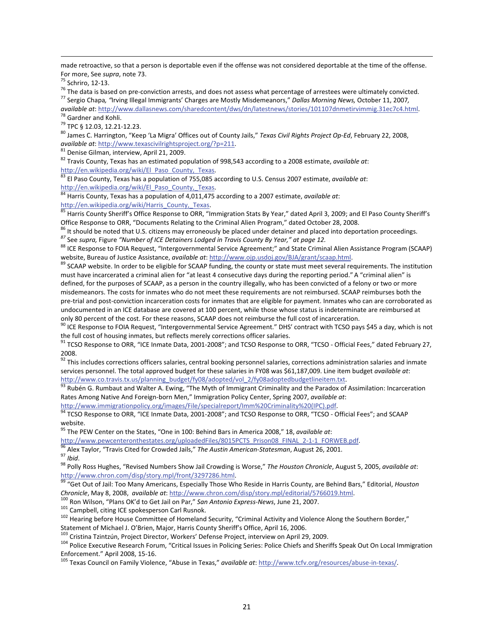<span id="page-21-0"></span>made retroactive, so that a person is deportable even if the offense was not considered deportable at the time of the offense.

1

For more, See *supra*, note 73.<br><sup>75</sup> Schriro, 12-13.<br><sup>76</sup> The data is based on pre-conviction arrests, and does not assess what percentage of arrestees were ultimately convicted.<br><sup>76</sup> The data is based on pre-conviction ar

<sup>78</sup> Gardner and Kohli.<br><sup>79</sup> TPC § 12.03, 12.21-12.23.<br><sup>80</sup> James C. Harrington, "Keep 'La Migra' Offices out of County Jails," *Texas Civil Rights Project Op-Ed*, February 22, 2008, *available at*: http://www.texascivilr

<sup>81</sup> Denise Gilman, interview, April 21, 2009.<br><sup>82</sup> Travis County, Texas has an estimated population of 998,543 according to a 2008 estimate, *available at*:

[http://en.wikipedia.org/wiki/El\\_Paso\\_County,\\_Texas.](http://en.wikipedia.org/wiki/El_Paso_County,_Texas)<br><sup>83</sup> El Paso County, Texas has a population of 755,085 according to U.S. Census 2007 estimate, *available at*:<br>http://en.wikipedia.org/wiki/El\_Paso\_County,\_Texas.

<sup>84</sup> Harris County, Texas has a population of 4,011,475 according to a 2007 estimate, *available at*:<br>
http://en.wikipedia.org/wiki/Harris County, Texas.

85 Harris County Sheriff's Office Response to ORR, "Immigration Stats By Year," dated April 3, 2009; and El Paso County Sheriff's

Office Response to ORR, "Documents Relating to the Criminal Alien Program," dated October 28, 2008.<br><sup>86</sup> It should be noted that U.S. citizens may erroneously be placed under detainer and placed into deportation proceeding

89 SCAAP website. In order to be eligible for SCAAP funding, the county or state must meet several requirements. The institution must have incarcerated a criminal alien for "at least 4 consecutive days during the reporting period." A "criminal alien" is defined, for the purposes of SCAAP, as a person in the country illegally, who has been convicted of a felony or two or more misdemeanors. The costs for inmates who do not meet these requirements are not reimbursed. SCAAP reimburses both the pre-trial and post-conviction incarceration costs for inmates that are eligible for payment. Inmates who can are corroborated as undocumented in an ICE database are covered at 100 percent, while those whose status is indeterminate are reimbursed at

only 80 percent of the cost. For these reasons, SCAAP does not reimburse the full cost of incarceration.<br><sup>90</sup> ICE Response to FOIA Request, "Intergovernmental Service Agreement." DHS' contract with TCSO pays \$45 a day, whi

<sup>91</sup> TCSO Response to ORR, "ICE Inmate Data, 2001-2008"; and TCSO Response to ORR, "TCSO - Official Fees," dated February 27, 2008.

<sup>92</sup> This includes corrections officers salaries, central booking personnel salaries, corrections administration salaries and inmate services personnel. The total approved budget for these salaries in FY08 was \$61,187,009. Line item budget *available at*:

[http://www.co.travis.tx.us/planning\\_budget/fy08/adopted/vol\\_2/fy08adoptedbudgetlineitem.txt](http://www.co.travis.tx.us/planning_budget/fy08/adopted/vol_2/fy08adoptedbudgetlineitem.txt). 93 Rubén G. Rumbaut and Walter A. Ewing, "The Myth of Immigrant Criminality and the Paradox of Assimilation: Incarceration Rates Among Native And Foreign-born Men," Immigration Policy Center, Spring 2007, *available at*:<br>http://www.immigrationpolicy.org/images/File/specialreport/Imm%20Criminality%20(IPC).pdf.

 $\frac{94}{94}$  TCSO Response to ORR, "ICE Inmate Data, 2001-2008"; and TCSO Response to ORR, "TCSO - Official Fees"; and SCAAP website.

<sup>95</sup> The PEW Center on the States, "One in 100: Behind Bars in America 2008," 18, *available at*:<br>http://www.pewcenteronthestates.org/uploadedFiles/8015PCTS\_Prison08\_FINAL\_2-1-1\_FORWEB.pdf.

<sup>96</sup> Alex Taylor, "Travis Cited for Crowded Jails," The Austin American-Statesman, August 26, 2001.<br><sup>97</sup> Ibid.<br><sup>98</sup> Polly Ross Hughes, "Revised Numbers Show Jail Crowding is Worse," The Houston Chronicle, August 5, 2005, a

<http://www.chron.com/disp/story.mpl/front/3297286.html>.<br><sup>99</sup> "Get Out of Jail: Too Many Americans, Especially Those Who Reside in Harris County, are Behind Bars," Editorial, *Houston* Chronicle, May 8, 2008, available at: <http://www.chron.com/disp/story.mpl/editorial/5766019.html>.<br><sup>100</sup> Ron Wilson, "Plans OK'd to Get Jail on Par," San Antonio Express-News, June 21, 2007.<br><sup>101</sup> Campbell, citing ICE spoke

Statement of Michael J. O'Brien, Major, Harris County Sheriff's Office, April 16, 2006.<br><sup>103</sup> Cristina Tzintzún, Project Director, Workers' Defense Project, interview on April 29, 2009.<br><sup>104</sup> Police Executive Research Foru Enforcement." April 2008, 15-16.<br><sup>105</sup> Texas Council on Family Violence, "Abuse in Texas," *available at*: [http://www.tcfv.org/resources/abuse](http://www.tcfv.org/resources/abuse-in-texas/)-in-texas/.